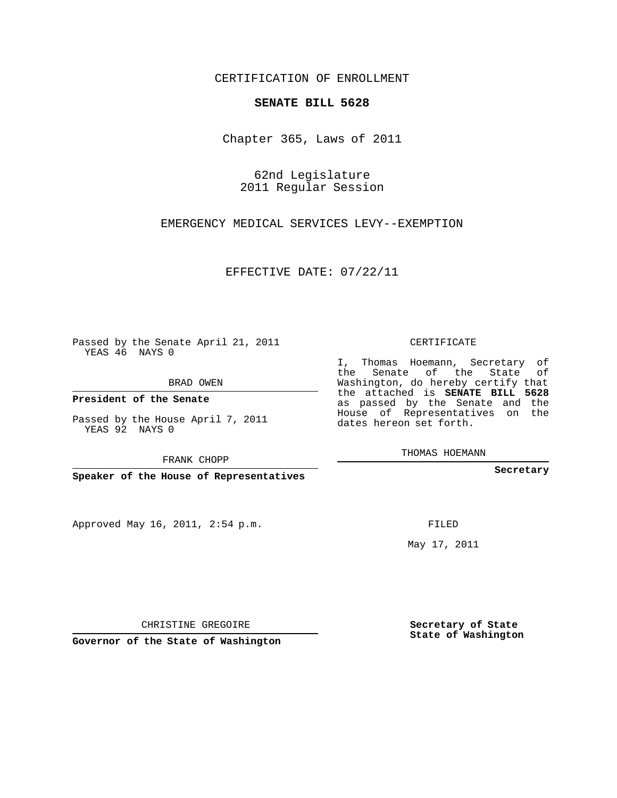## CERTIFICATION OF ENROLLMENT

## **SENATE BILL 5628**

Chapter 365, Laws of 2011

62nd Legislature 2011 Regular Session

EMERGENCY MEDICAL SERVICES LEVY--EXEMPTION

EFFECTIVE DATE: 07/22/11

Passed by the Senate April 21, 2011 YEAS 46 NAYS 0

BRAD OWEN

**President of the Senate**

Passed by the House April 7, 2011 YEAS 92 NAYS 0

FRANK CHOPP

**Speaker of the House of Representatives**

Approved May 16, 2011, 2:54 p.m.

CERTIFICATE

I, Thomas Hoemann, Secretary of the Senate of the State of Washington, do hereby certify that the attached is **SENATE BILL 5628** as passed by the Senate and the House of Representatives on the dates hereon set forth.

THOMAS HOEMANN

**Secretary**

FILED

May 17, 2011

**Secretary of State State of Washington**

CHRISTINE GREGOIRE

**Governor of the State of Washington**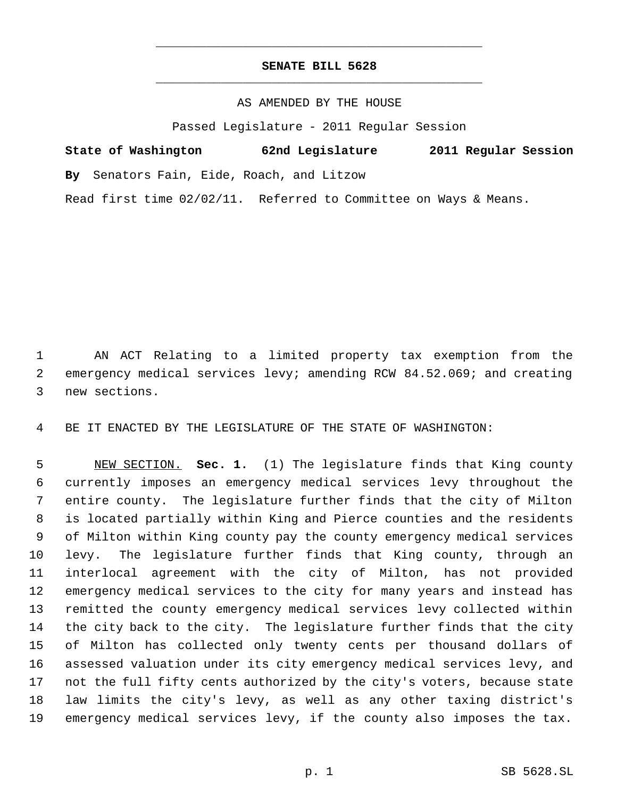## **SENATE BILL 5628** \_\_\_\_\_\_\_\_\_\_\_\_\_\_\_\_\_\_\_\_\_\_\_\_\_\_\_\_\_\_\_\_\_\_\_\_\_\_\_\_\_\_\_\_\_

\_\_\_\_\_\_\_\_\_\_\_\_\_\_\_\_\_\_\_\_\_\_\_\_\_\_\_\_\_\_\_\_\_\_\_\_\_\_\_\_\_\_\_\_\_

AS AMENDED BY THE HOUSE

Passed Legislature - 2011 Regular Session

| State of Washington                       |  | 62nd Legislature |  | 2011 Regular Session |  |
|-------------------------------------------|--|------------------|--|----------------------|--|
| By Senators Fain, Eide, Roach, and Litzow |  |                  |  |                      |  |

Read first time 02/02/11. Referred to Committee on Ways & Means.

 AN ACT Relating to a limited property tax exemption from the emergency medical services levy; amending RCW 84.52.069; and creating new sections.

BE IT ENACTED BY THE LEGISLATURE OF THE STATE OF WASHINGTON:

 NEW SECTION. **Sec. 1.** (1) The legislature finds that King county currently imposes an emergency medical services levy throughout the entire county. The legislature further finds that the city of Milton is located partially within King and Pierce counties and the residents of Milton within King county pay the county emergency medical services levy. The legislature further finds that King county, through an interlocal agreement with the city of Milton, has not provided emergency medical services to the city for many years and instead has remitted the county emergency medical services levy collected within the city back to the city. The legislature further finds that the city of Milton has collected only twenty cents per thousand dollars of assessed valuation under its city emergency medical services levy, and not the full fifty cents authorized by the city's voters, because state law limits the city's levy, as well as any other taxing district's emergency medical services levy, if the county also imposes the tax.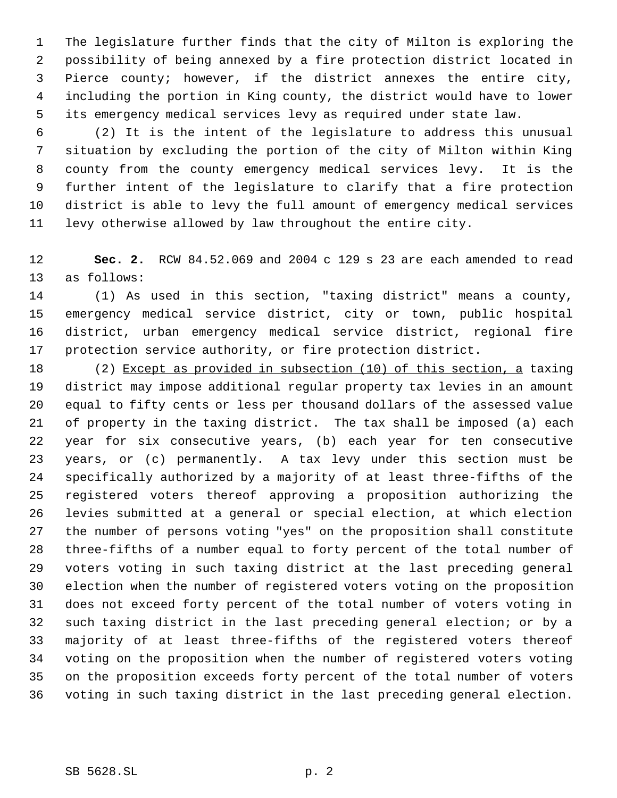The legislature further finds that the city of Milton is exploring the possibility of being annexed by a fire protection district located in Pierce county; however, if the district annexes the entire city, including the portion in King county, the district would have to lower its emergency medical services levy as required under state law.

 (2) It is the intent of the legislature to address this unusual situation by excluding the portion of the city of Milton within King county from the county emergency medical services levy. It is the further intent of the legislature to clarify that a fire protection district is able to levy the full amount of emergency medical services levy otherwise allowed by law throughout the entire city.

 **Sec. 2.** RCW 84.52.069 and 2004 c 129 s 23 are each amended to read as follows:

 (1) As used in this section, "taxing district" means a county, emergency medical service district, city or town, public hospital district, urban emergency medical service district, regional fire protection service authority, or fire protection district.

 (2) Except as provided in subsection (10) of this section, a taxing district may impose additional regular property tax levies in an amount equal to fifty cents or less per thousand dollars of the assessed value of property in the taxing district. The tax shall be imposed (a) each year for six consecutive years, (b) each year for ten consecutive years, or (c) permanently. A tax levy under this section must be specifically authorized by a majority of at least three-fifths of the registered voters thereof approving a proposition authorizing the levies submitted at a general or special election, at which election the number of persons voting "yes" on the proposition shall constitute three-fifths of a number equal to forty percent of the total number of voters voting in such taxing district at the last preceding general election when the number of registered voters voting on the proposition does not exceed forty percent of the total number of voters voting in such taxing district in the last preceding general election; or by a majority of at least three-fifths of the registered voters thereof voting on the proposition when the number of registered voters voting on the proposition exceeds forty percent of the total number of voters voting in such taxing district in the last preceding general election.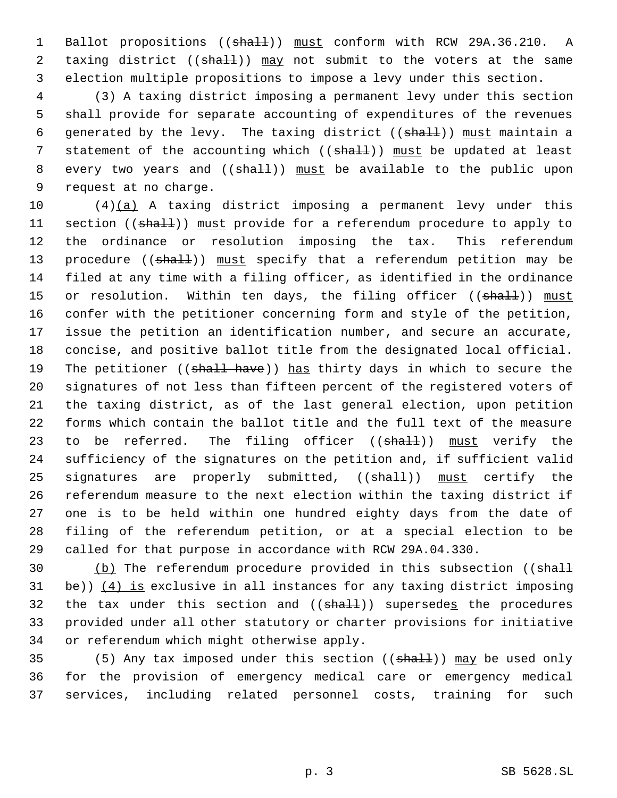1 Ballot propositions ((shall)) must conform with RCW 29A.36.210. A 2 taxing district ((shall)) may not submit to the voters at the same 3 election multiple propositions to impose a levy under this section.

 4 (3) A taxing district imposing a permanent levy under this section 5 shall provide for separate accounting of expenditures of the revenues 6 generated by the levy. The taxing district  $((shall))$  must maintain a 7 statement of the accounting which (( $\frac{1}{2}$ ) must be updated at least 8 every two years and ((shall)) must be available to the public upon 9 request at no charge.

 $(4)(a)$  A taxing district imposing a permanent levy under this 11 section ((shall)) must provide for a referendum procedure to apply to the ordinance or resolution imposing the tax. This referendum 13 procedure ((shall)) must specify that a referendum petition may be filed at any time with a filing officer, as identified in the ordinance 15 or resolution. Within ten days, the filing officer ((shall)) must confer with the petitioner concerning form and style of the petition, issue the petition an identification number, and secure an accurate, concise, and positive ballot title from the designated local official. 19 The petitioner ((shall have)) has thirty days in which to secure the signatures of not less than fifteen percent of the registered voters of the taxing district, as of the last general election, upon petition forms which contain the ballot title and the full text of the measure 23 to be referred. The filing officer ((shall)) must verify the sufficiency of the signatures on the petition and, if sufficient valid 25 signatures are properly submitted, ((shall)) must certify the referendum measure to the next election within the taxing district if one is to be held within one hundred eighty days from the date of filing of the referendum petition, or at a special election to be called for that purpose in accordance with RCW 29A.04.330.

30 (b) The referendum procedure provided in this subsection ((shall 31 be))  $(4)$  is exclusive in all instances for any taxing district imposing 32 the tax under this section and  $((shall))$  supersedes the procedures 33 provided under all other statutory or charter provisions for initiative 34 or referendum which might otherwise apply.

35 (5) Any tax imposed under this section ((shall)) may be used only 36 for the provision of emergency medical care or emergency medical 37 services, including related personnel costs, training for such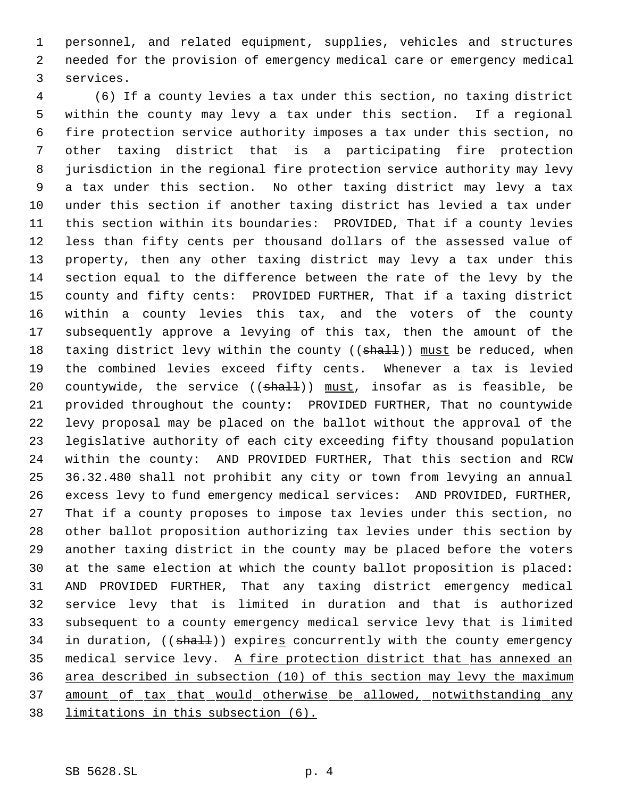personnel, and related equipment, supplies, vehicles and structures needed for the provision of emergency medical care or emergency medical services.

 (6) If a county levies a tax under this section, no taxing district within the county may levy a tax under this section. If a regional fire protection service authority imposes a tax under this section, no other taxing district that is a participating fire protection jurisdiction in the regional fire protection service authority may levy a tax under this section. No other taxing district may levy a tax under this section if another taxing district has levied a tax under this section within its boundaries: PROVIDED, That if a county levies less than fifty cents per thousand dollars of the assessed value of property, then any other taxing district may levy a tax under this section equal to the difference between the rate of the levy by the county and fifty cents: PROVIDED FURTHER, That if a taxing district within a county levies this tax, and the voters of the county subsequently approve a levying of this tax, then the amount of the 18 taxing district levy within the county ((shall)) must be reduced, when the combined levies exceed fifty cents. Whenever a tax is levied 20 countywide, the service  $((shall))$  must, insofar as is feasible, be provided throughout the county: PROVIDED FURTHER, That no countywide levy proposal may be placed on the ballot without the approval of the legislative authority of each city exceeding fifty thousand population within the county: AND PROVIDED FURTHER, That this section and RCW 36.32.480 shall not prohibit any city or town from levying an annual excess levy to fund emergency medical services: AND PROVIDED, FURTHER, That if a county proposes to impose tax levies under this section, no other ballot proposition authorizing tax levies under this section by another taxing district in the county may be placed before the voters at the same election at which the county ballot proposition is placed: AND PROVIDED FURTHER, That any taxing district emergency medical service levy that is limited in duration and that is authorized subsequent to a county emergency medical service levy that is limited 34 in duration, ((shall)) expires concurrently with the county emergency 35 medical service levy. A fire protection district that has annexed an area described in subsection (10) of this section may levy the maximum 37 amount of tax that would otherwise be allowed, notwithstanding any limitations in this subsection (6).